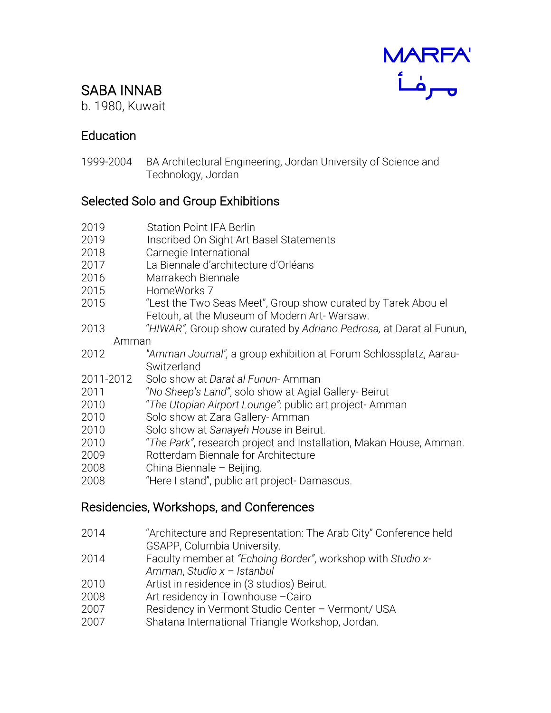# MARFA'<br>مصرفاً

## SABA INNAB

b. 1980, Kuwait

### Education

1999-2004 BA Architectural Engineering, Jordan University of Science and Technology, Jordan

#### Selected Solo and Group Exhibitions

- 2019 Station Point IFA Berlin
- 2019 Inscribed On Sight Art Basel Statements
- 2018 Carnegie International
- 2017 La Biennale d'architecture d'Orléans
- 2016 Marrakech Biennale
- 2015 HomeWorks 7
- 2015 "Lest the Two Seas Meet", Group show curated by Tarek Abou el Fetouh, at the Museum of Modern Art- Warsaw.
- 2013 "*HIWAR",* Group show curated by *Adriano Pedrosa,* at Darat al Funun, Amman
- 2012 *"Amman Journal",* a group exhibition at Forum Schlossplatz, Aarau-Switzerland
- 2011-2012 Solo show at *Darat al Funun* Amman
- 2011 "*No Sheep's Land"*, solo show at Agial Gallery- Beirut
- 2010 "*The Utopian Airport Lounge"*: public art project- Amman
- 2010 Solo show at Zara Gallery- Amman
- 2010 Solo show at *Sanayeh House* in Beirut.
- 2010 "*The Park"*, research project and Installation, Makan House, Amman.
- 2009 Rotterdam Biennale for Architecture
- 2008 China Biennale Beijing.
- 2008 "Here I stand", public art project- Damascus.

#### Residencies, Workshops, and Conferences

- 2014 "Architecture and Representation: The Arab City" Conference held GSAPP, Columbia University.
- 2014 Faculty member at *"Echoing Border"*, workshop with *Studio x-Amman*, *Studio x – Istanbul*
- 2010 Artist in residence in (3 studios) Beirut.
- 2008 Art residency in Townhouse –Cairo
- 2007 Residency in Vermont Studio Center Vermont/ USA
- 2007 Shatana International Triangle Workshop, Jordan.